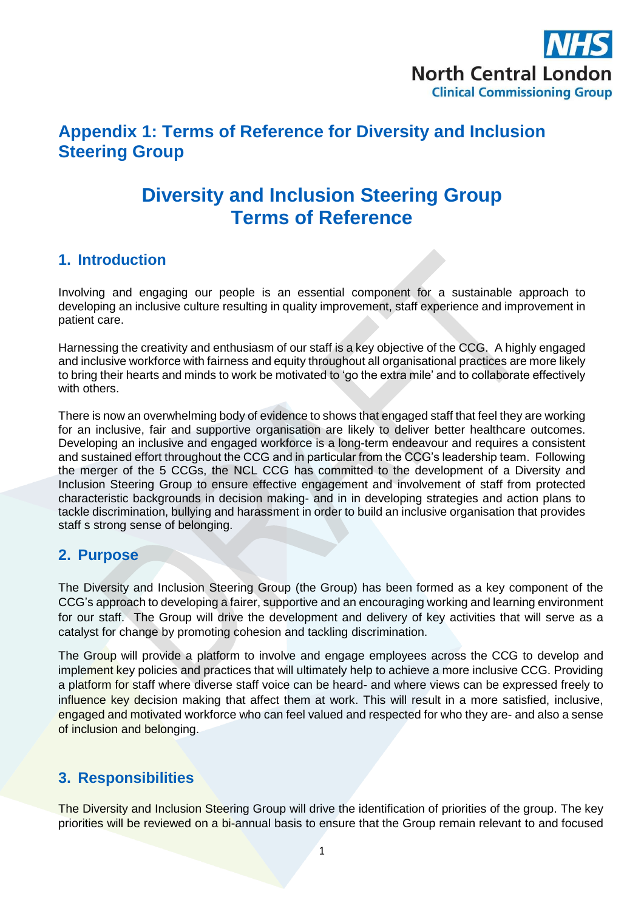

## **Appendix 1: Terms of Reference for Diversity and Inclusion Steering Group**

# **Diversity and Inclusion Steering Group Terms of Reference**

#### **1. Introduction**

Involving and engaging our people is an essential component for a sustainable approach to developing an inclusive culture resulting in quality improvement, staff experience and improvement in patient care.

Harnessing the creativity and enthusiasm of our staff is a key objective of the CCG. A highly engaged and inclusive workforce with fairness and equity throughout all organisational practices are more likely to bring their hearts and minds to work be motivated to 'go the extra mile' and to collaborate effectively with others.

There is now an overwhelming body of evidence to shows that engaged staff that feel they are working for an inclusive, fair and supportive organisation are likely to deliver better healthcare outcomes. Developing an inclusive and engaged workforce is a long-term endeavour and requires a consistent and sustained effort throughout the CCG and in particular from the CCG's leadership team. Following the merger of the 5 CCGs, the NCL CCG has committed to the development of a Diversity and Inclusion Steering Group to ensure effective engagement and involvement of staff from protected characteristic backgrounds in decision making- and in in developing strategies and action plans to tackle discrimination, bullying and harassment in order to build an inclusive organisation that provides staff s strong sense of belonging.

#### **2. Purpose**

The Diversity and Inclusion Steering Group (the Group) has been formed as a key component of the CCG's approach to developing a fairer, supportive and an encouraging working and learning environment for our staff. The Group will drive the development and delivery of key activities that will serve as a catalyst for change by promoting cohesion and tackling discrimination.

The Group will provide a platform to involve and engage employees across the CCG to develop and implement key policies and practices that will ultimately help to achieve a more inclusive CCG. Providing a platform for staff where diverse staff voice can be heard- and where views can be expressed freely to influence key decision making that affect them at work. This will result in a more satisfied, inclusive, engaged and motivated workforce who can feel valued and respected for who they are- and also a sense of inclusion and belonging.

## **3. Responsibilities**

The Diversity and Inclusion Steering Group will drive the identification of priorities of the group. The key priorities will be reviewed on a bi-annual basis to ensure that the Group remain relevant to and focused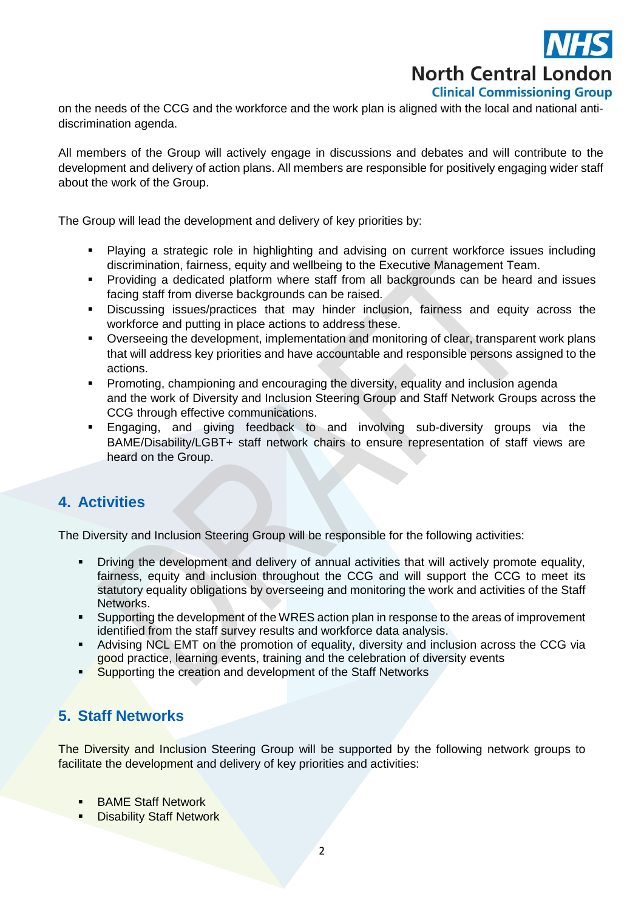

on the needs of the CCG and the workforce and the work plan is aligned with the local and national antidiscrimination agenda.

All members of the Group will actively engage in discussions and debates and will contribute to the development and delivery of action plans. All members are responsible for positively engaging wider staff about the work of the Group.

The Group will lead the development and delivery of key priorities by:

- Playing a strategic role in highlighting and advising on current workforce issues including discrimination, fairness, equity and wellbeing to the Executive Management Team.
- Providing a dedicated platform where staff from all backgrounds can be heard and issues facing staff from diverse backgrounds can be raised.
- Discussing issues/practices that may hinder inclusion, fairness and equity across the workforce and putting in place actions to address these.
- Overseeing the development, implementation and monitoring of clear, transparent work plans that will address key priorities and have accountable and responsible persons assigned to the actions.
- Promoting, championing and encouraging the diversity, equality and inclusion agenda and the work of Diversity and Inclusion Steering Group and Staff Network Groups across the CCG through effective communications.
- Engaging, and giving feedback to and involving sub-diversity groups via the BAME/Disability/LGBT+ staff network chairs to ensure representation of staff views are heard on the Group.

#### **4. Activities**

The Diversity and Inclusion Steering Group will be responsible for the following activities:

- **•** Driving the development and delivery of annual activities that will actively promote equality, fairness, equity and inclusion throughout the CCG and will support the CCG to meet its statutory equality obligations by overseeing and monitoring the work and activities of the Staff Networks.
- Supporting the development of the WRES action plan in response to the areas of improvement identified from the staff survey results and workforce data analysis.
- Advising NCL EMT on the promotion of equality, diversity and inclusion across the CCG via good practice, learning events, training and the celebration of diversity events
- Supporting the creation and development of the Staff Networks

## **5. Staff Networks**

The Diversity and Inclusion Steering Group will be supported by the following network groups to facilitate the development and delivery of key priorities and activities:

- **BAME Staff Network**
- **-** Disability Staff Network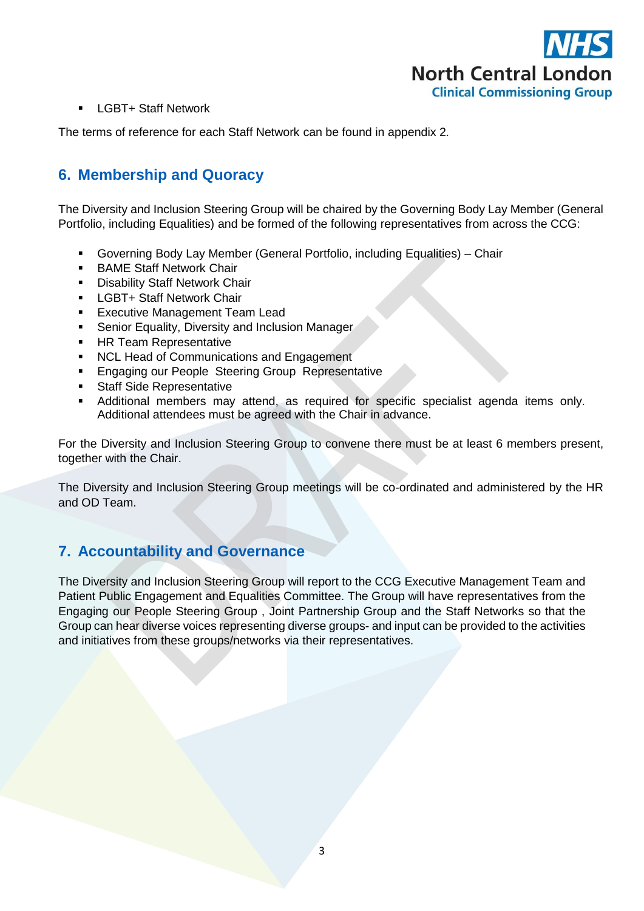

**-** LGBT+ Staff Network

The terms of reference for each Staff Network can be found in appendix 2.

## **6. Membership and Quoracy**

The Diversity and Inclusion Steering Group will be chaired by the Governing Body Lay Member (General Portfolio, including Equalities) and be formed of the following representatives from across the CCG:

- Governing Body Lay Member (General Portfolio, including Equalities) Chair
- **BAME Staff Network Chair**
- **Disability Staff Network Chair**
- **-** LGBT+ Staff Network Chair
- **Executive Management Team Lead**
- **Senior Equality, Diversity and Inclusion Manager**
- **HR Team Representative**
- NCL Head of Communications and Engagement
- **Engaging our People Steering Group Representative**
- **Staff Side Representative**
- Additional members may attend, as required for specific specialist agenda items only. Additional attendees must be agreed with the Chair in advance.

For the Diversity and Inclusion Steering Group to convene there must be at least 6 members present, together with the Chair.

The Diversity and Inclusion Steering Group meetings will be co-ordinated and administered by the HR and OD Team.

#### **7. Accountability and Governance**

The Diversity and Inclusion Steering Group will report to the CCG Executive Management Team and Patient Public Engagement and Equalities Committee. The Group will have representatives from the Engaging our People Steering Group , Joint Partnership Group and the Staff Networks so that the Group can hear diverse voices representing diverse groups- and input can be provided to the activities and initiatives from these groups/networks via their representatives.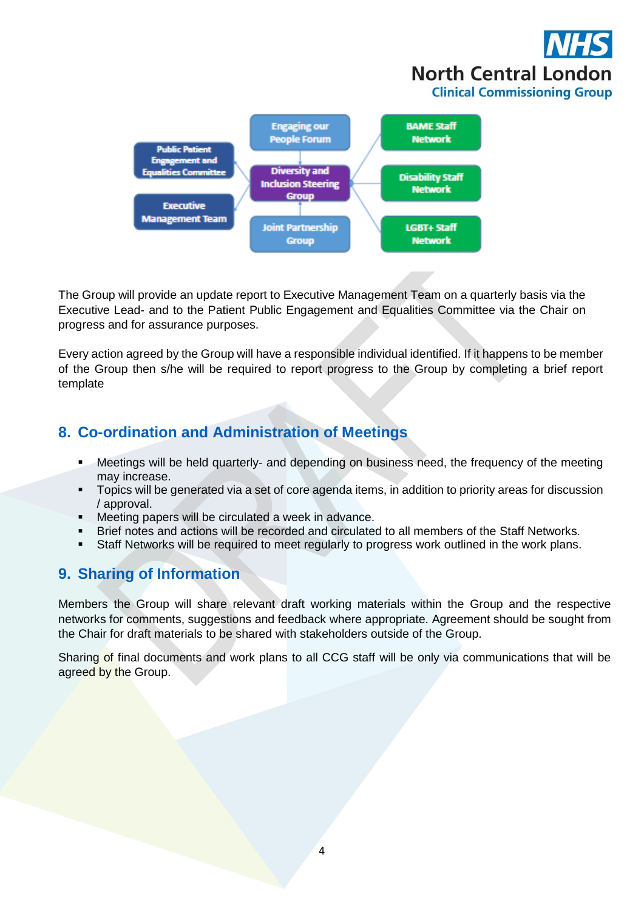



The Group will provide an update report to Executive Management Team on a quarterly basis via the Executive Lead- and to the Patient Public Engagement and Equalities Committee via the Chair on progress and for assurance purposes.

Every action agreed by the Group will have a responsible individual identified. If it happens to be member of the Group then s/he will be required to report progress to the Group by completing a brief report template

## **8. Co-ordination and Administration of Meetings**

- **Meetings will be held quarterly- and depending on business need, the frequency of the meeting** may increase.
- **Topics will be generated via a set of core agenda items, in addition to priority areas for discussion** / approval.
- Meeting papers will be circulated a week in advance.
- Brief notes and actions will be recorded and circulated to all members of the Staff Networks.
- Staff Networks will be required to meet regularly to progress work outlined in the work plans.

## **9. Sharing of Information**

Members the Group will share relevant draft working materials within the Group and the respective networks for comments, suggestions and feedback where appropriate. Agreement should be sought from the Chair for draft materials to be shared with stakeholders outside of the Group.

Sharing of final documents and work plans to all CCG staff will be only via communications that will be agreed by the Group.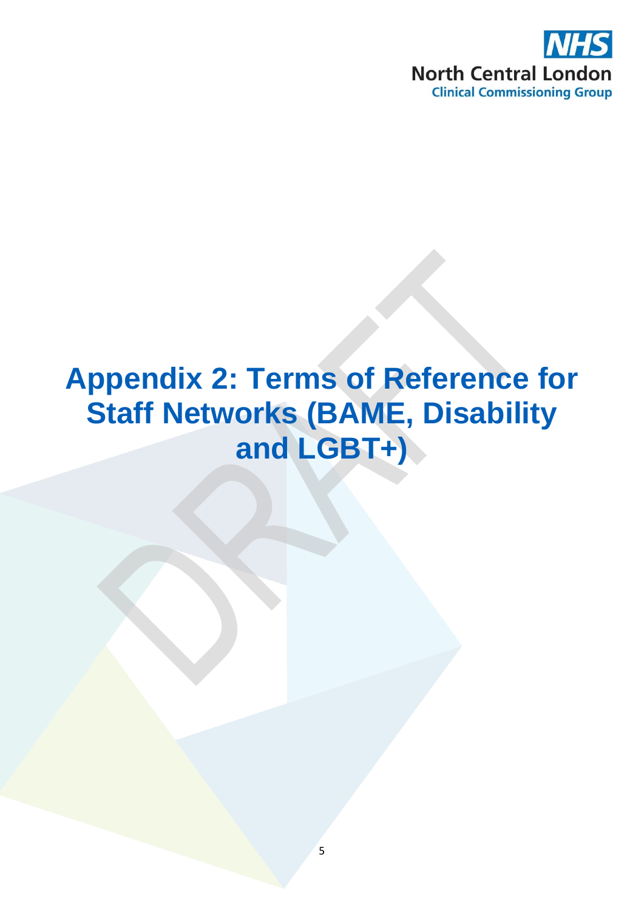

# **Appendix 2: Terms of Reference for Staff Networks (BAME, Disability and LGBT+)**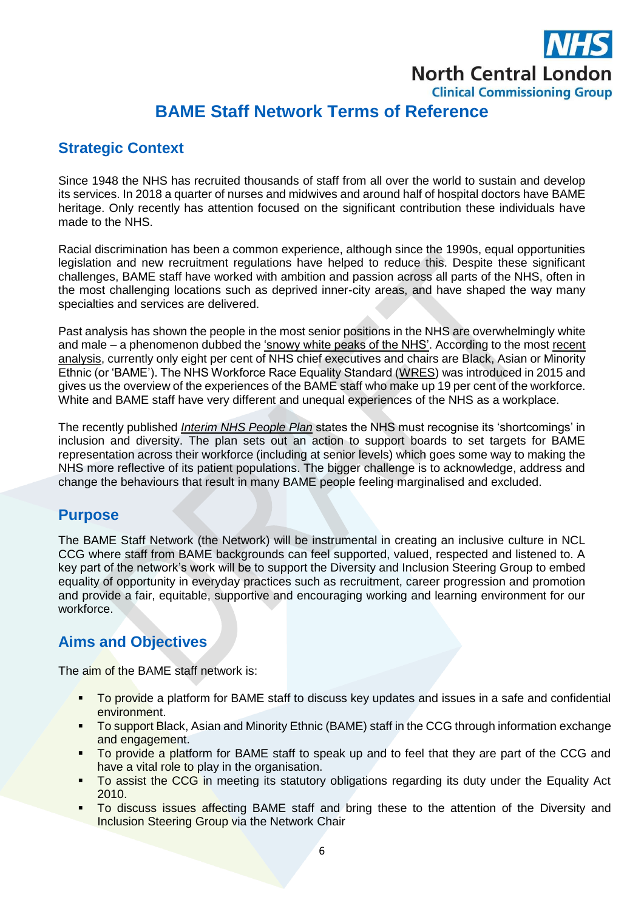

## **BAME Staff Network Terms of Reference**

### **Strategic Context**

Since 1948 the NHS has recruited thousands of staff from all over the world to sustain and develop its services. In 2018 a quarter of nurses and midwives and around half of hospital doctors have BAME heritage. Only recently has attention focused on the significant contribution these individuals have made to the NHS.

Racial discrimination has been a common experience, although since the 1990s, equal opportunities legislation and new recruitment regulations have helped to reduce this. Despite these significant challenges, BAME staff have worked with ambition and passion across all parts of the NHS, often in the most challenging locations such as deprived inner-city areas, and have shaped the way many specialties and services are delivered.

Past analysis has shown the people in the most senior positions in the NHS are overwhelmingly white and male – a phenomenon dubbed the ['snowy white peaks of the NHS'.](http://eprints.mdx.ac.uk/13201/1/The%20snowy%20white%20peaks%20of%20the%20NHS%20final%20docx%20pdf%20%283%29.pdf) According to the mos[t recent](https://www.nhsconfed.org/resources/2019/06/chairs-and-non-executives-in-the-nhs)  [analysis,](https://www.nhsconfed.org/resources/2019/06/chairs-and-non-executives-in-the-nhs) currently only eight per cent of NHS chief executives and chairs are Black, Asian or Minority Ethnic (or 'BAME'). The NHS Workforce Race Equality Standard [\(WRES\)](https://www.england.nhs.uk/about/equality/equality-hub/equality-standard/workforce-race-equality-standard-2018-report/) was introduced in 2015 and gives us the overview of the experiences of the BAME staff who make up 19 per cent of the workforce. White and BAME staff have very different and unequal experiences of the NHS as a workplace.

The recently published *[Interim NHS People Plan](https://www.longtermplan.nhs.uk/wp-content/uploads/2019/05/Interim-NHS-People-Plan_June2019.pdf)* states the NHS must recognise its 'shortcomings' in inclusion and diversity. The plan sets out an action to support boards to set targets for BAME representation across their workforce (including at senior levels) which goes some way to making the NHS more reflective of its patient populations. The bigger challenge is to acknowledge, address and change the behaviours that result in many BAME people feeling marginalised and excluded.

#### **Purpose**

The BAME Staff Network (the Network) will be instrumental in creating an inclusive culture in NCL CCG where staff from BAME backgrounds can feel supported, valued, respected and listened to. A key part of the network's work will be to support the Diversity and Inclusion Steering Group to embed equality of opportunity in everyday practices such as recruitment, career progression and promotion and provide a fair, equitable, supportive and encouraging working and learning environment for our workforce.

## **Aims and Objectives**

The aim of the BAME staff network is:

- To provide a platform for BAME staff to discuss key updates and issues in a safe and confidential environment.
- To support Black, Asian and Minority Ethnic (BAME) staff in the CCG through information exchange and engagement.
- To provide a platform for BAME staff to speak up and to feel that they are part of the CCG and have a vital role to play in the organisation.
- To assist the CCG in meeting its statutory obligations regarding its duty under the Equality Act 2010.
- To discuss issues affecting BAME staff and bring these to the attention of the Diversity and Inclusion Steering Group via the Network Chair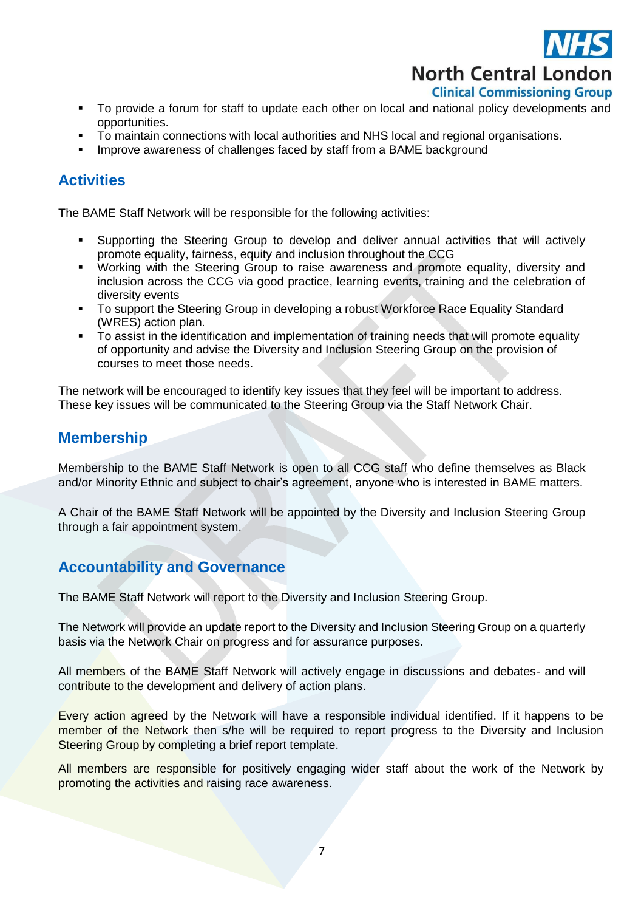

**North Central London** 

#### **Clinical Commissioning Group**

- To provide a forum for staff to update each other on local and national policy developments and opportunities.
- **To maintain connections with local authorities and NHS local and regional organisations.**
- **IMPROVE AWAGERS OF CHALL STAGES FACES AND ASSET FROM A BAME background**

## **Activities**

The BAME Staff Network will be responsible for the following activities:

- Supporting the Steering Group to develop and deliver annual activities that will actively promote equality, fairness, equity and inclusion throughout the CCG
- Working with the Steering Group to raise awareness and promote equality, diversity and inclusion across the CCG via good practice, learning events, training and the celebration of diversity events
- To support the Steering Group in developing a robust Workforce Race Equality Standard (WRES) action plan.
- To assist in the identification and implementation of training needs that will promote equality of opportunity and advise the Diversity and Inclusion Steering Group on the provision of courses to meet those needs.

The network will be encouraged to identify key issues that they feel will be important to address. These key issues will be communicated to the Steering Group via the Staff Network Chair.

## **Membership**

Membership to the BAME Staff Network is open to all CCG staff who define themselves as Black and/or Minority Ethnic and subject to chair's agreement, anyone who is interested in BAME matters.

A Chair of the BAME Staff Network will be appointed by the Diversity and Inclusion Steering Group through a fair appointment system.

## **Accountability and Governance**

The BAME Staff Network will report to the Diversity and Inclusion Steering Group.

The Network will provide an update report to the Diversity and Inclusion Steering Group on a quarterly basis via the Network Chair on progress and for assurance purposes.

All members of the BAME Staff Network will actively engage in discussions and debates- and will contribute to the development and delivery of action plans.

Every action agreed by the Network will have a responsible individual identified. If it happens to be member of the Network then s/he will be required to report progress to the Diversity and Inclusion Steering Group by completing a brief report template.

All members are responsible for positively engaging wider staff about the work of the Network by promoting the activities and raising race awareness.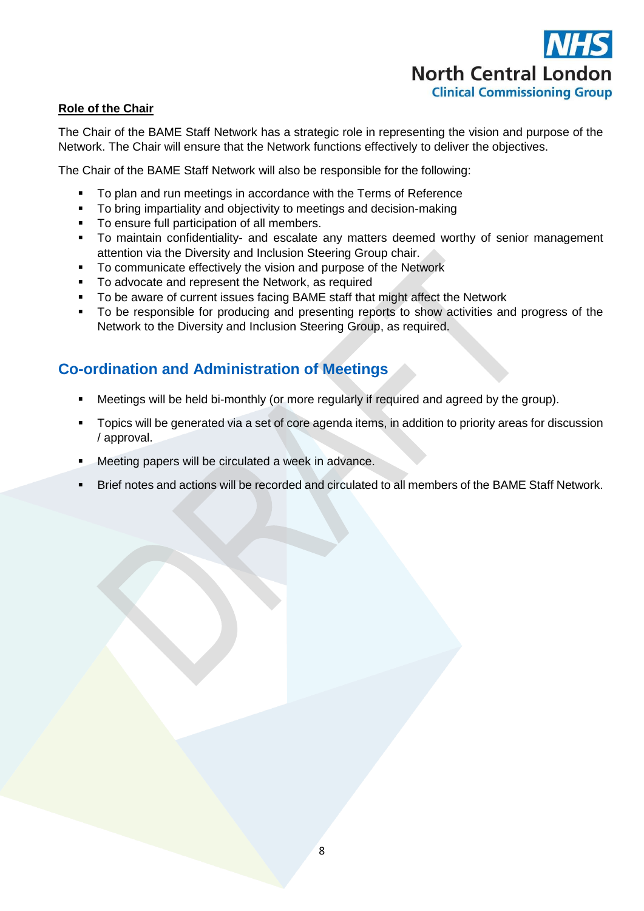# **North Central London Clinical Commissioning Group**

#### **Role of the Chair**

The Chair of the BAME Staff Network has a strategic role in representing the vision and purpose of the Network. The Chair will ensure that the Network functions effectively to deliver the objectives.

The Chair of the BAME Staff Network will also be responsible for the following:

- To plan and run meetings in accordance with the Terms of Reference
- To bring impartiality and objectivity to meetings and decision-making
- To ensure full participation of all members.
- To maintain confidentiality- and escalate any matters deemed worthy of senior management attention via the Diversity and Inclusion Steering Group chair.
- To communicate effectively the vision and purpose of the Network
- To advocate and represent the Network, as required
- To be aware of current issues facing BAME staff that might affect the Network
- To be responsible for producing and presenting reports to show activities and progress of the Network to the Diversity and Inclusion Steering Group, as required.

## **Co-ordination and Administration of Meetings**

- Meetings will be held bi-monthly (or more regularly if required and agreed by the group).
- **Topics will be generated via a set of core agenda items, in addition to priority areas for discussion** / approval.
- Meeting papers will be circulated a week in advance.
- Brief notes and actions will be recorded and circulated to all members of the BAME Staff Network.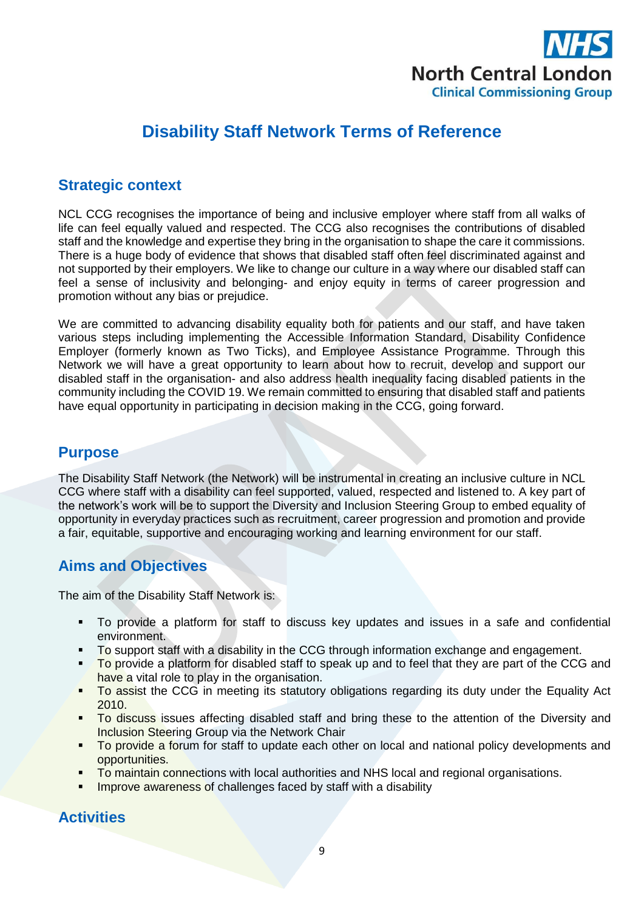

# **Disability Staff Network Terms of Reference**

### **Strategic context**

NCL CCG recognises the importance of being and inclusive employer where staff from all walks of life can feel equally valued and respected. The CCG also recognises the contributions of disabled staff and the knowledge and expertise they bring in the organisation to shape the care it commissions. There is a huge body of evidence that shows that disabled staff often feel discriminated against and not supported by their employers. We like to change our culture in a way where our disabled staff can feel a sense of inclusivity and belonging- and enjoy equity in terms of career progression and promotion without any bias or prejudice.

We are committed to advancing disability equality both for patients and our staff, and have taken various steps including implementing the Accessible Information Standard, Disability Confidence Employer (formerly known as Two Ticks), and Employee Assistance Programme. Through this Network we will have a great opportunity to learn about how to recruit, develop and support our disabled staff in the organisation- and also address health inequality facing disabled patients in the community including the COVID 19. We remain committed to ensuring that disabled staff and patients have equal opportunity in participating in decision making in the CCG, going forward.

#### **Purpose**

The Disability Staff Network (the Network) will be instrumental in creating an inclusive culture in NCL CCG where staff with a disability can feel supported, valued, respected and listened to. A key part of the network's work will be to support the Diversity and Inclusion Steering Group to embed equality of opportunity in everyday practices such as recruitment, career progression and promotion and provide a fair, equitable, supportive and encouraging working and learning environment for our staff.

## **Aims and Objectives**

The aim of the Disability Staff Network is:

- To provide a platform for staff to discuss key updates and issues in a safe and confidential environment.
- To support staff with a disability in the CCG through information exchange and engagement.
- To provide a platform for disabled staff to speak up and to feel that they are part of the CCG and have a vital role to play in the organisation.
- To assist the CCG in meeting its statutory obligations regarding its duty under the Equality Act 2010.
- To discuss issues affecting disabled staff and bring these to the attention of the Diversity and Inclusion Steering Group via the Network Chair
- To provide a forum for staff to update each other on local and national policy developments and opportunities.
- To maintain connections with local authorities and NHS local and regional organisations.
- **IMPROVE AWALERS OF CHALLE FACED BY STAFF WITH A STANDULE PROPERTY**

#### **Activities**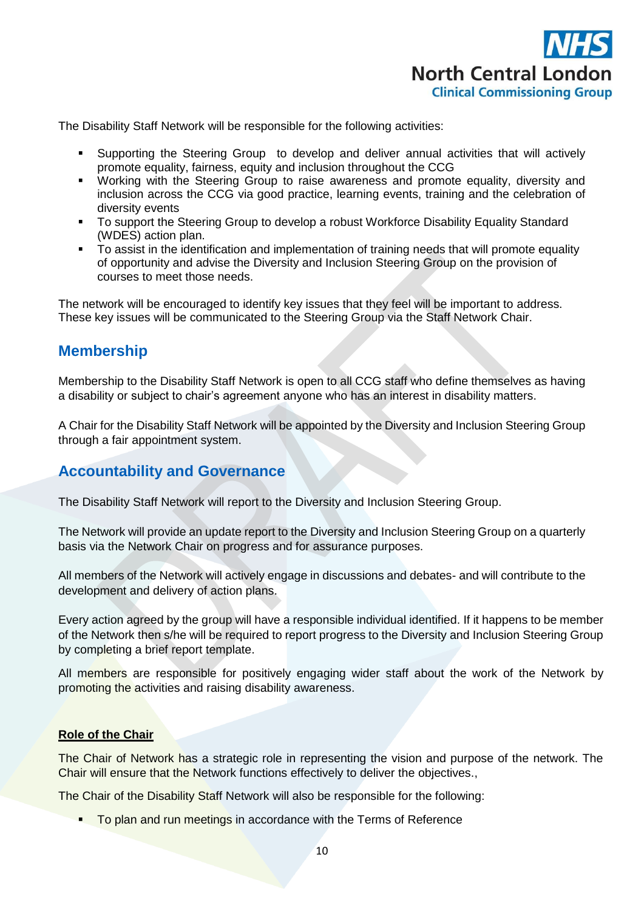

The Disability Staff Network will be responsible for the following activities:

- Supporting the Steering Group to develop and deliver annual activities that will actively promote equality, fairness, equity and inclusion throughout the CCG
- Working with the Steering Group to raise awareness and promote equality, diversity and inclusion across the CCG via good practice, learning events, training and the celebration of diversity events
- To support the Steering Group to develop a robust Workforce Disability Equality Standard (WDES) action plan.
- To assist in the identification and implementation of training needs that will promote equality of opportunity and advise the Diversity and Inclusion Steering Group on the provision of courses to meet those needs.

The network will be encouraged to identify key issues that they feel will be important to address. These key issues will be communicated to the Steering Group via the Staff Network Chair.

### **Membership**

Membership to the Disability Staff Network is open to all CCG staff who define themselves as having a disability or subject to chair's agreement anyone who has an interest in disability matters.

A Chair for the Disability Staff Network will be appointed by the Diversity and Inclusion Steering Group through a fair appointment system.

#### **Accountability and Governance**

The Disability Staff Network will report to the Diversity and Inclusion Steering Group.

The Network will provide an update report to the Diversity and Inclusion Steering Group on a quarterly basis via the Network Chair on progress and for assurance purposes.

All members of the Network will actively engage in discussions and debates- and will contribute to the development and delivery of action plans.

Every action agreed by the group will have a responsible individual identified. If it happens to be member of the Network then s/he will be required to report progress to the Diversity and Inclusion Steering Group by completing a brief report template.

All members are responsible for positively engaging wider staff about the work of the Network by promoting the activities and raising disability awareness.

#### **Role of the Chair**

The Chair of Network has a strategic role in representing the vision and purpose of the network. The Chair will ensure that the Network functions effectively to deliver the objectives.,

The Chair of the Disability Staff Network will also be responsible for the following:

**To plan and run meetings in accordance with the Terms of Reference**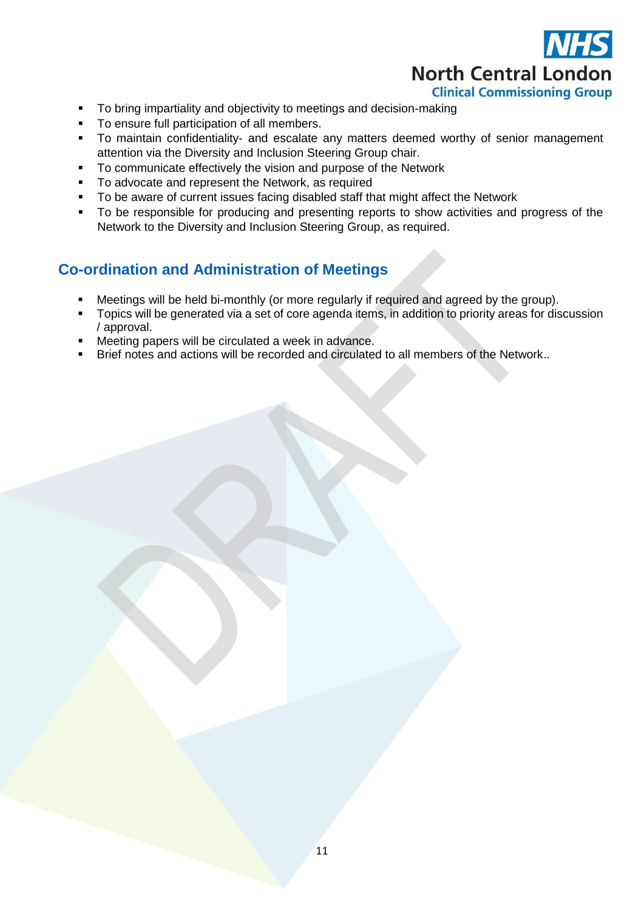

- To bring impartiality and objectivity to meetings and decision-making
- To ensure full participation of all members.
- To maintain confidentiality- and escalate any matters deemed worthy of senior management attention via the Diversity and Inclusion Steering Group chair.
- To communicate effectively the vision and purpose of the Network
- **To advocate and represent the Network, as required**
- To be aware of current issues facing disabled staff that might affect the Network
- To be responsible for producing and presenting reports to show activities and progress of the Network to the Diversity and Inclusion Steering Group, as required.

## **Co-ordination and Administration of Meetings**

- Meetings will be held bi-monthly (or more regularly if required and agreed by the group).
- Topics will be generated via a set of core agenda items, in addition to priority areas for discussion / approval.
- Meeting papers will be circulated a week in advance.
- **Brief notes and actions will be recorded and circulated to all members of the Network..**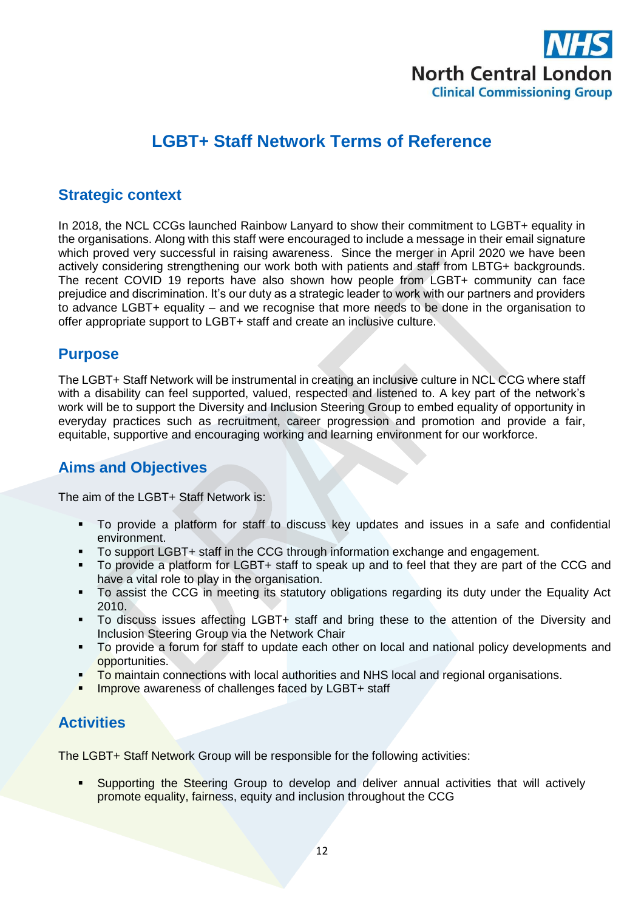

# **LGBT+ Staff Network Terms of Reference**

#### **Strategic context**

In 2018, the NCL CCGs launched Rainbow Lanyard to show their commitment to LGBT+ equality in the organisations. Along with this staff were encouraged to include a message in their email signature which proved very successful in raising awareness. Since the merger in April 2020 we have been actively considering strengthening our work both with patients and staff from LBTG+ backgrounds. The recent COVID 19 reports have also shown how people from LGBT+ community can face prejudice and discrimination. It's our duty as a strategic leader to work with our partners and providers to advance LGBT+ equality – and we recognise that more needs to be done in the organisation to offer appropriate support to LGBT+ staff and create an inclusive culture.

#### **Purpose**

The LGBT+ Staff Network will be instrumental in creating an inclusive culture in NCL CCG where staff with a disability can feel supported, valued, respected and listened to. A key part of the network's work will be to support the Diversity and Inclusion Steering Group to embed equality of opportunity in everyday practices such as recruitment, career progression and promotion and provide a fair, equitable, supportive and encouraging working and learning environment for our workforce.

## **Aims and Objectives**

The aim of the LGBT+ Staff Network is:

- To provide a platform for staff to discuss key updates and issues in a safe and confidential environment.
- To support LGBT+ staff in the CCG through information exchange and engagement.
- To provide a platform for LGBT+ staff to speak up and to feel that they are part of the CCG and have a vital role to play in the organisation.
- To assist the CCG in meeting its statutory obligations regarding its duty under the Equality Act 2010.
- To discuss issues affecting LGBT+ staff and bring these to the attention of the Diversity and Inclusion Steering Group via the Network Chair
- To provide a forum for staff to update each other on local and national policy developments and opportunities.
- To maintain connections with local authorities and NHS local and regional organisations.
- **Improve** awareness of challenges faced by LGBT+ staff

## **Activities**

The LGBT+ Staff Network Group will be responsible for the following activities:

 Supporting the Steering Group to develop and deliver annual activities that will actively promote equality, fairness, equity and inclusion throughout the CCG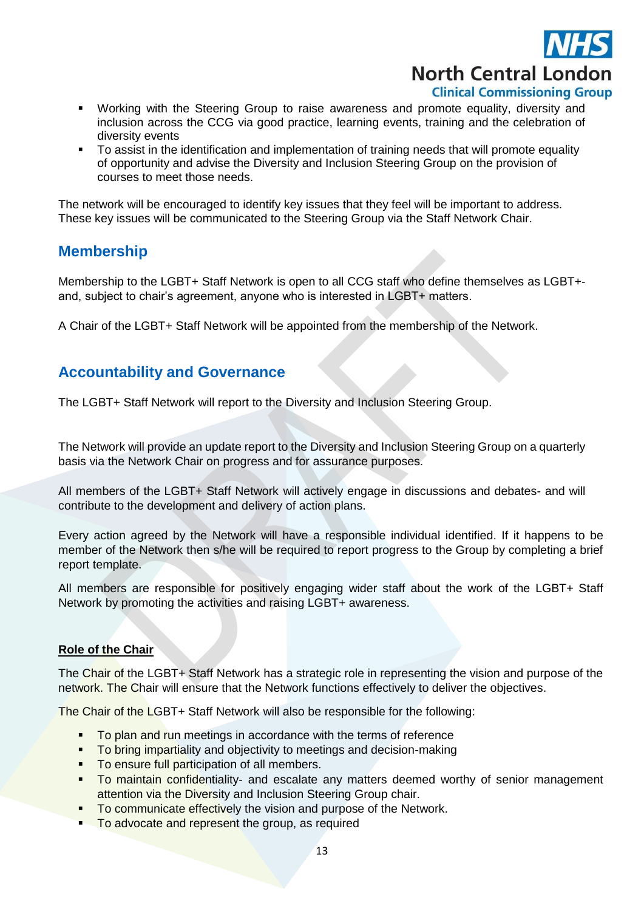

- Working with the Steering Group to raise awareness and promote equality, diversity and inclusion across the CCG via good practice, learning events, training and the celebration of diversity events
- To assist in the identification and implementation of training needs that will promote equality of opportunity and advise the Diversity and Inclusion Steering Group on the provision of courses to meet those needs.

The network will be encouraged to identify key issues that they feel will be important to address. These key issues will be communicated to the Steering Group via the Staff Network Chair.

### **Membership**

Membership to the LGBT+ Staff Network is open to all CCG staff who define themselves as LGBT+ and, subject to chair's agreement, anyone who is interested in LGBT+ matters.

A Chair of the LGBT+ Staff Network will be appointed from the membership of the Network.

#### **Accountability and Governance**

The LGBT+ Staff Network will report to the Diversity and Inclusion Steering Group.

The Network will provide an update report to the Diversity and Inclusion Steering Group on a quarterly basis via the Network Chair on progress and for assurance purposes.

All members of the LGBT+ Staff Network will actively engage in discussions and debates- and will contribute to the development and delivery of action plans.

Every action agreed by the Network will have a responsible individual identified. If it happens to be member of the Network then s/he will be required to report progress to the Group by completing a brief report template.

All members are responsible for positively engaging wider staff about the work of the LGBT+ Staff Network by promoting the activities and raising LGBT+ awareness.

#### **Role of the Chair**

The Chair of the LGBT+ Staff Network has a strategic role in representing the vision and purpose of the network. The Chair will ensure that the Network functions effectively to deliver the objectives.

The Chair of the LGBT+ Staff Network will also be responsible for the following:

- To plan and run meetings in accordance with the terms of reference
- To bring impartiality and objectivity to meetings and decision-making
- To ensure full participation of all members.
- **To maintain confidentiality- and escalate any matters deemed worthy of senior management** attention via the Diversity and Inclusion Steering Group chair.
- To communicate effectively the vision and purpose of the Network.
- To advocate and represent the group, as required